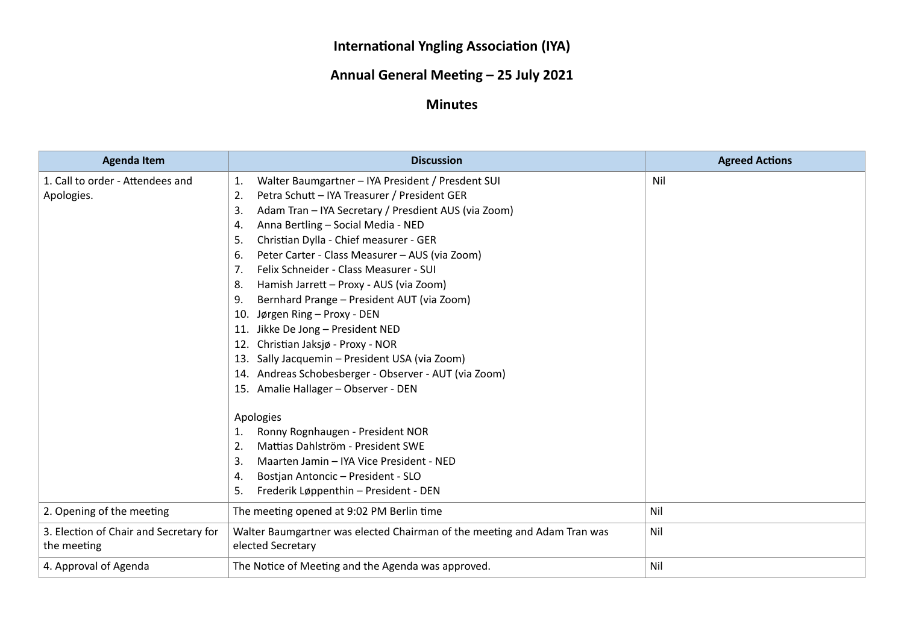## **International Yngling Association (IYA)**

## **Annual General Meeting – 25 July 2021**

## **Minutes**

| <b>Agenda Item</b>                     | <b>Discussion</b>                                                        | <b>Agreed Actions</b> |
|----------------------------------------|--------------------------------------------------------------------------|-----------------------|
| 1. Call to order - Attendees and       | Walter Baumgartner - IYA President / Presdent SUI<br>1.                  | Nil                   |
| Apologies.                             | Petra Schutt - IYA Treasurer / President GER<br>2.                       |                       |
|                                        | Adam Tran - IYA Secretary / Presdient AUS (via Zoom)<br>3.               |                       |
|                                        | Anna Bertling - Social Media - NED<br>4.                                 |                       |
|                                        | Christian Dylla - Chief measurer - GER<br>5.                             |                       |
|                                        | Peter Carter - Class Measurer - AUS (via Zoom)<br>6.                     |                       |
|                                        | Felix Schneider - Class Measurer - SUI<br>7 <sub>1</sub>                 |                       |
|                                        | Hamish Jarrett - Proxy - AUS (via Zoom)<br>8.                            |                       |
|                                        | Bernhard Prange - President AUT (via Zoom)<br>9.                         |                       |
|                                        | Jørgen Ring - Proxy - DEN<br>10.                                         |                       |
|                                        | Jikke De Jong - President NED<br>11.                                     |                       |
|                                        | Christian Jaksjø - Proxy - NOR<br>12.                                    |                       |
|                                        | Sally Jacquemin - President USA (via Zoom)<br>13.                        |                       |
|                                        | 14. Andreas Schobesberger - Observer - AUT (via Zoom)                    |                       |
|                                        | 15. Amalie Hallager - Observer - DEN                                     |                       |
|                                        | Apologies                                                                |                       |
|                                        | Ronny Rognhaugen - President NOR<br>1.                                   |                       |
|                                        | Mattias Dahlström - President SWE<br>2.                                  |                       |
|                                        | Maarten Jamin – IYA Vice President - NED<br>3.                           |                       |
|                                        | Bostjan Antoncic - President - SLO<br>4.                                 |                       |
|                                        | Frederik Løppenthin – President - DEN<br>5.                              |                       |
| 2. Opening of the meeting              | The meeting opened at 9:02 PM Berlin time                                | Nil                   |
| 3. Election of Chair and Secretary for | Walter Baumgartner was elected Chairman of the meeting and Adam Tran was | Nil                   |
| the meeting                            | elected Secretary                                                        |                       |
| 4. Approval of Agenda                  | The Notice of Meeting and the Agenda was approved.                       | Nil                   |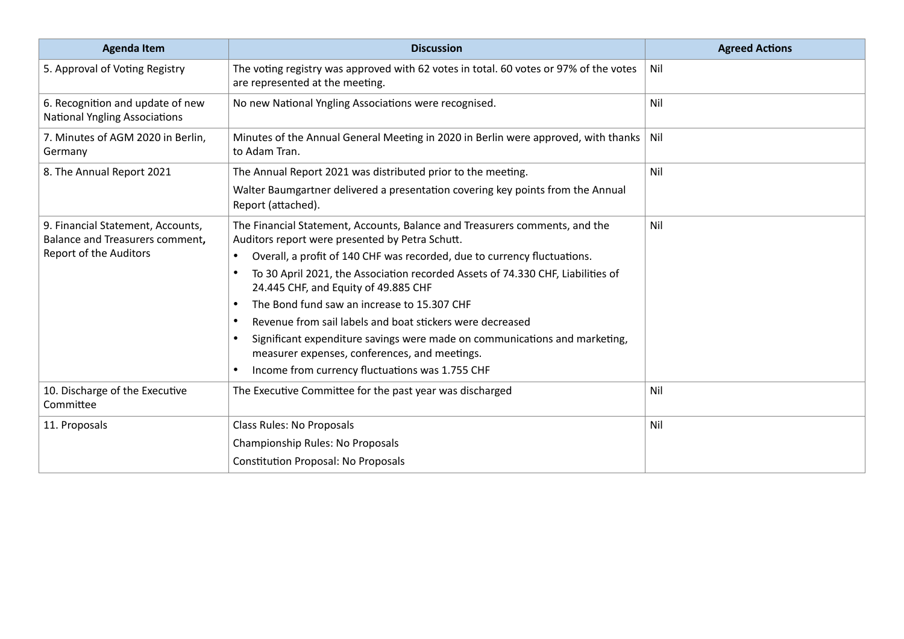| <b>Agenda Item</b>                                                       | <b>Discussion</b>                                                                                                              | <b>Agreed Actions</b> |
|--------------------------------------------------------------------------|--------------------------------------------------------------------------------------------------------------------------------|-----------------------|
| 5. Approval of Voting Registry                                           | The voting registry was approved with 62 votes in total. 60 votes or 97% of the votes<br>are represented at the meeting.       | Nil                   |
| 6. Recognition and update of new<br><b>National Yngling Associations</b> | No new National Yngling Associations were recognised.                                                                          | Nil                   |
| 7. Minutes of AGM 2020 in Berlin,<br>Germany                             | Minutes of the Annual General Meeting in 2020 in Berlin were approved, with thanks   Nil<br>to Adam Tran.                      |                       |
| 8. The Annual Report 2021                                                | The Annual Report 2021 was distributed prior to the meeting.                                                                   | Nil                   |
|                                                                          | Walter Baumgartner delivered a presentation covering key points from the Annual<br>Report (attached).                          |                       |
| 9. Financial Statement, Accounts,<br>Balance and Treasurers comment,     | The Financial Statement, Accounts, Balance and Treasurers comments, and the<br>Auditors report were presented by Petra Schutt. | Nil                   |
| Report of the Auditors                                                   | Overall, a profit of 140 CHF was recorded, due to currency fluctuations.                                                       |                       |
|                                                                          | To 30 April 2021, the Association recorded Assets of 74.330 CHF, Liabilities of<br>24.445 CHF, and Equity of 49.885 CHF        |                       |
|                                                                          | The Bond fund saw an increase to 15.307 CHF                                                                                    |                       |
|                                                                          | Revenue from sail labels and boat stickers were decreased                                                                      |                       |
|                                                                          | Significant expenditure savings were made on communications and marketing,<br>measurer expenses, conferences, and meetings.    |                       |
|                                                                          | Income from currency fluctuations was 1.755 CHF                                                                                |                       |
| 10. Discharge of the Executive<br>Committee                              | The Executive Committee for the past year was discharged                                                                       | Nil                   |
| 11. Proposals                                                            | <b>Class Rules: No Proposals</b>                                                                                               | Nil                   |
|                                                                          | Championship Rules: No Proposals                                                                                               |                       |
|                                                                          | <b>Constitution Proposal: No Proposals</b>                                                                                     |                       |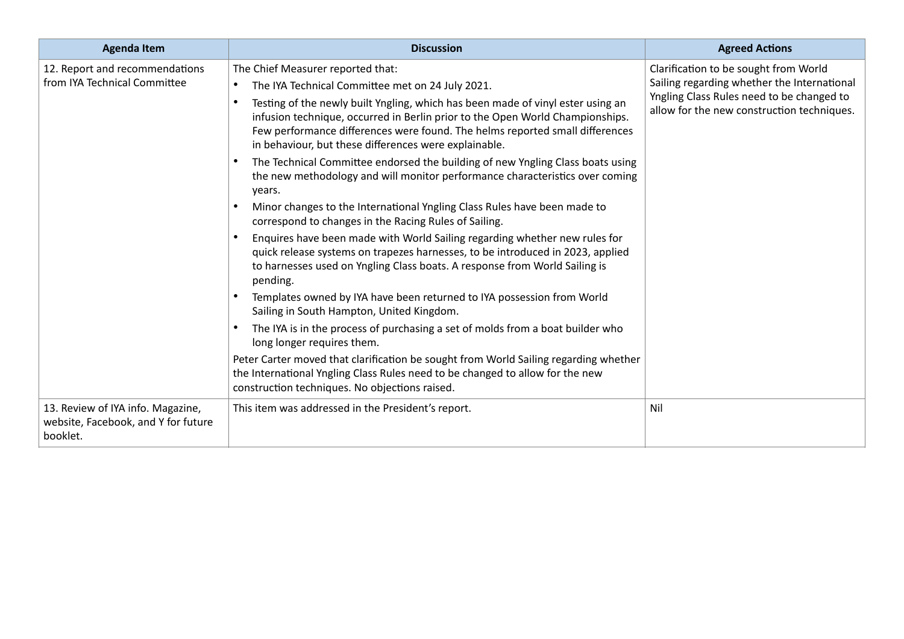| <b>Agenda Item</b>                                                                   | <b>Discussion</b>                                                                                                                                                                                                                                                                                                                                                                                                                                                                                                                                                                                                                                                                                                                                                                                                                                                                                                                                                                                                                                                                                                                                                                                                                                                                                                                                                                                                                               | <b>Agreed Actions</b>                                                                                                                                                           |
|--------------------------------------------------------------------------------------|-------------------------------------------------------------------------------------------------------------------------------------------------------------------------------------------------------------------------------------------------------------------------------------------------------------------------------------------------------------------------------------------------------------------------------------------------------------------------------------------------------------------------------------------------------------------------------------------------------------------------------------------------------------------------------------------------------------------------------------------------------------------------------------------------------------------------------------------------------------------------------------------------------------------------------------------------------------------------------------------------------------------------------------------------------------------------------------------------------------------------------------------------------------------------------------------------------------------------------------------------------------------------------------------------------------------------------------------------------------------------------------------------------------------------------------------------|---------------------------------------------------------------------------------------------------------------------------------------------------------------------------------|
| 12. Report and recommendations<br>from IYA Technical Committee                       | The Chief Measurer reported that:<br>The IYA Technical Committee met on 24 July 2021.<br>Testing of the newly built Yngling, which has been made of vinyl ester using an<br>infusion technique, occurred in Berlin prior to the Open World Championships.<br>Few performance differences were found. The helms reported small differences<br>in behaviour, but these differences were explainable.<br>The Technical Committee endorsed the building of new Yngling Class boats using<br>the new methodology and will monitor performance characteristics over coming<br>years.<br>Minor changes to the International Yngling Class Rules have been made to<br>correspond to changes in the Racing Rules of Sailing.<br>Enquires have been made with World Sailing regarding whether new rules for<br>quick release systems on trapezes harnesses, to be introduced in 2023, applied<br>to harnesses used on Yngling Class boats. A response from World Sailing is<br>pending.<br>Templates owned by IYA have been returned to IYA possession from World<br>Sailing in South Hampton, United Kingdom.<br>The IYA is in the process of purchasing a set of molds from a boat builder who<br>long longer requires them.<br>Peter Carter moved that clarification be sought from World Sailing regarding whether<br>the International Yngling Class Rules need to be changed to allow for the new<br>construction techniques. No objections raised. | Clarification to be sought from World<br>Sailing regarding whether the International<br>Yngling Class Rules need to be changed to<br>allow for the new construction techniques. |
| 13. Review of IYA info. Magazine,<br>website, Facebook, and Y for future<br>booklet. | This item was addressed in the President's report.                                                                                                                                                                                                                                                                                                                                                                                                                                                                                                                                                                                                                                                                                                                                                                                                                                                                                                                                                                                                                                                                                                                                                                                                                                                                                                                                                                                              | Nil                                                                                                                                                                             |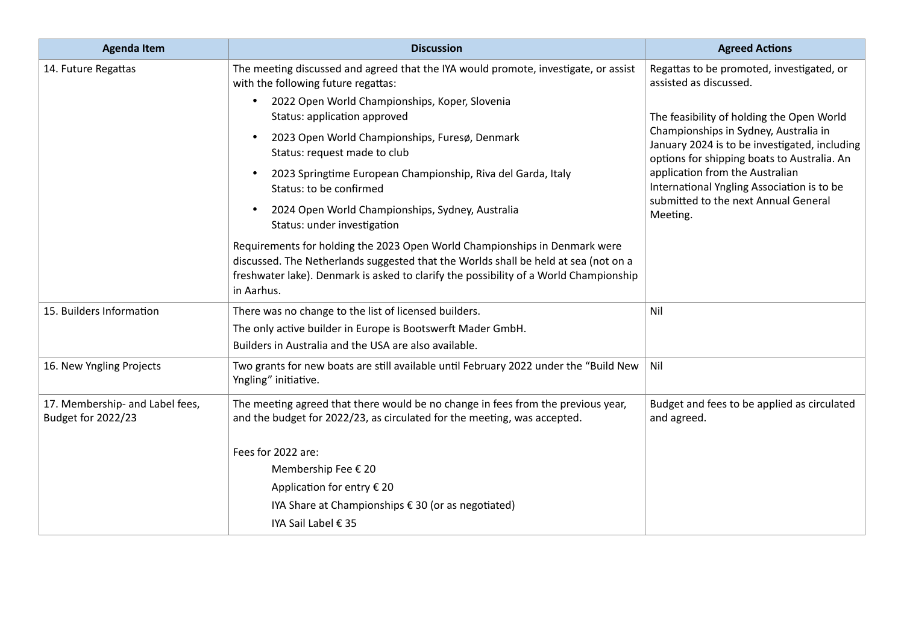| <b>Agenda Item</b>                                    | <b>Discussion</b>                                                                                                                                                                                                                                                        | <b>Agreed Actions</b>                                                                                                                                                                                                                                               |
|-------------------------------------------------------|--------------------------------------------------------------------------------------------------------------------------------------------------------------------------------------------------------------------------------------------------------------------------|---------------------------------------------------------------------------------------------------------------------------------------------------------------------------------------------------------------------------------------------------------------------|
| 14. Future Regattas                                   | The meeting discussed and agreed that the IYA would promote, investigate, or assist<br>with the following future regattas:                                                                                                                                               | Regattas to be promoted, investigated, or<br>assisted as discussed.                                                                                                                                                                                                 |
|                                                       | 2022 Open World Championships, Koper, Slovenia<br>Status: application approved                                                                                                                                                                                           | The feasibility of holding the Open World<br>Championships in Sydney, Australia in<br>January 2024 is to be investigated, including<br>options for shipping boats to Australia. An<br>application from the Australian<br>International Yngling Association is to be |
|                                                       | 2023 Open World Championships, Furesø, Denmark<br>Status: request made to club                                                                                                                                                                                           |                                                                                                                                                                                                                                                                     |
|                                                       | 2023 Springtime European Championship, Riva del Garda, Italy<br>Status: to be confirmed                                                                                                                                                                                  |                                                                                                                                                                                                                                                                     |
|                                                       | 2024 Open World Championships, Sydney, Australia<br>$\bullet$<br>Status: under investigation                                                                                                                                                                             | submitted to the next Annual General<br>Meeting.                                                                                                                                                                                                                    |
|                                                       | Requirements for holding the 2023 Open World Championships in Denmark were<br>discussed. The Netherlands suggested that the Worlds shall be held at sea (not on a<br>freshwater lake). Denmark is asked to clarify the possibility of a World Championship<br>in Aarhus. |                                                                                                                                                                                                                                                                     |
| 15. Builders Information                              | There was no change to the list of licensed builders.                                                                                                                                                                                                                    | Nil                                                                                                                                                                                                                                                                 |
|                                                       | The only active builder in Europe is Bootswerft Mader GmbH.                                                                                                                                                                                                              |                                                                                                                                                                                                                                                                     |
|                                                       | Builders in Australia and the USA are also available.                                                                                                                                                                                                                    |                                                                                                                                                                                                                                                                     |
| 16. New Yngling Projects                              | Two grants for new boats are still available until February 2022 under the "Build New<br>Yngling" initiative.                                                                                                                                                            | Nil                                                                                                                                                                                                                                                                 |
| 17. Membership- and Label fees,<br>Budget for 2022/23 | The meeting agreed that there would be no change in fees from the previous year,<br>and the budget for 2022/23, as circulated for the meeting, was accepted.                                                                                                             | Budget and fees to be applied as circulated<br>and agreed.                                                                                                                                                                                                          |
|                                                       | Fees for 2022 are:                                                                                                                                                                                                                                                       |                                                                                                                                                                                                                                                                     |
|                                                       | Membership Fee € 20                                                                                                                                                                                                                                                      |                                                                                                                                                                                                                                                                     |
|                                                       | Application for entry € 20                                                                                                                                                                                                                                               |                                                                                                                                                                                                                                                                     |
|                                                       | IYA Share at Championships $\epsilon$ 30 (or as negotiated)                                                                                                                                                                                                              |                                                                                                                                                                                                                                                                     |
|                                                       | IYA Sail Label € 35                                                                                                                                                                                                                                                      |                                                                                                                                                                                                                                                                     |